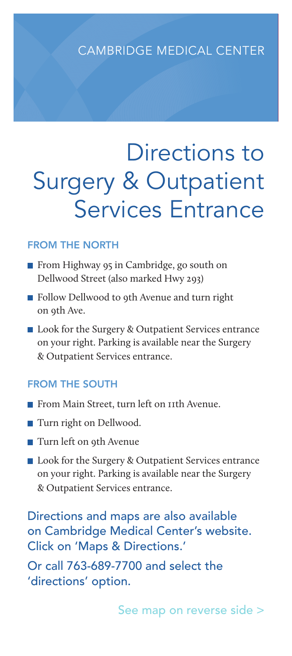## CAMBRIDGE MEDICAL CENTER

# Directions to Surgery & Outpatient Services Entrance

#### FROM THE NORTH

- **From Highway 95 in Cambridge, go south on** Dellwood Street (also marked Hwy 293)
- Follow Dellwood to 9th Avenue and turn right on 9th Ave.
- Look for the Surgery & Outpatient Services entrance on your right. Parking is available near the Surgery & Outpatient Services entrance.

#### FROM THE SOUTH

- From Main Street, turn left on 11th Avenue.
- **Turn right on Dellwood.**
- Turn left on 9th Avenue
- Look for the Surgery & Outpatient Services entrance on your right. Parking is available near the Surgery & Outpatient Services entrance.

Directions and maps are also available on Cambridge Medical Center's website. Click on 'Maps & Directions.'

Or call 763-689-7700 and select the 'directions' option.